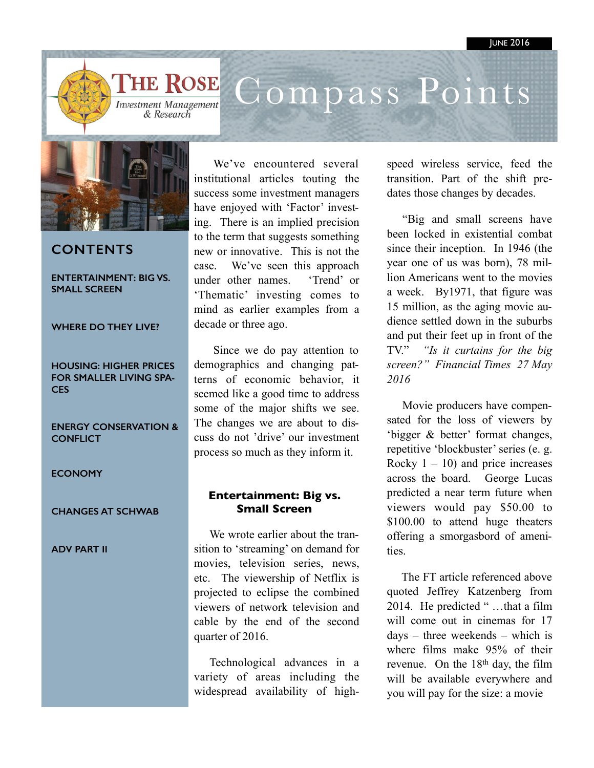

Compass Points



& Research

# **CONTENTS**

#### **ENTERTAINMENT: BIG VS. SMALL SCREEN**

### **WHERE DO THEY LIVE?**

**HOUSING: HIGHER PRICES FOR SMALLER LIVING SPA-CES** 

**ENERGY CONSERVATION & CONFLICT** 

**ECONOMY**

**CHANGES AT SCHWAB** 

**ADV PART II**

We've encountered several institutional articles touting the success some investment managers have enjoyed with 'Factor' investing. There is an implied precision to the term that suggests something new or innovative. This is not the case. We've seen this approach under other names. 'Trend' or 'Thematic' investing comes to mind as earlier examples from a decade or three ago.

Since we do pay attention to demographics and changing patterns of economic behavior, it seemed like a good time to address some of the major shifts we see. The changes we are about to discuss do not 'drive' our investment process so much as they inform it.

## **Entertainment: Big vs. Small Screen**

We wrote earlier about the transition to 'streaming' on demand for movies, television series, news, etc. The viewership of Netflix is projected to eclipse the combined viewers of network television and cable by the end of the second quarter of 2016.

Technological advances in a variety of areas including the widespread availability of highspeed wireless service, feed the transition. Part of the shift predates those changes by decades.

"Big and small screens have been locked in existential combat since their inception. In 1946 (the year one of us was born), 78 million Americans went to the movies a week. By1971, that figure was 15 million, as the aging movie audience settled down in the suburbs and put their feet up in front of the TV." *"Is it curtains for the big screen?" Financial Times 27 May 2016* 

Movie producers have compensated for the loss of viewers by 'bigger & better' format changes, repetitive 'blockbuster' series (e. g. Rocky  $1 - 10$ ) and price increases across the board. George Lucas predicted a near term future when viewers would pay \$50.00 to \$100.00 to attend huge theaters offering a smorgasbord of amenities.

The FT article referenced above quoted Jeffrey Katzenberg from 2014. He predicted " …that a film will come out in cinemas for 17 days – three weekends – which is where films make 95% of their revenue. On the 18th day, the film will be available everywhere and you will pay for the size: a movie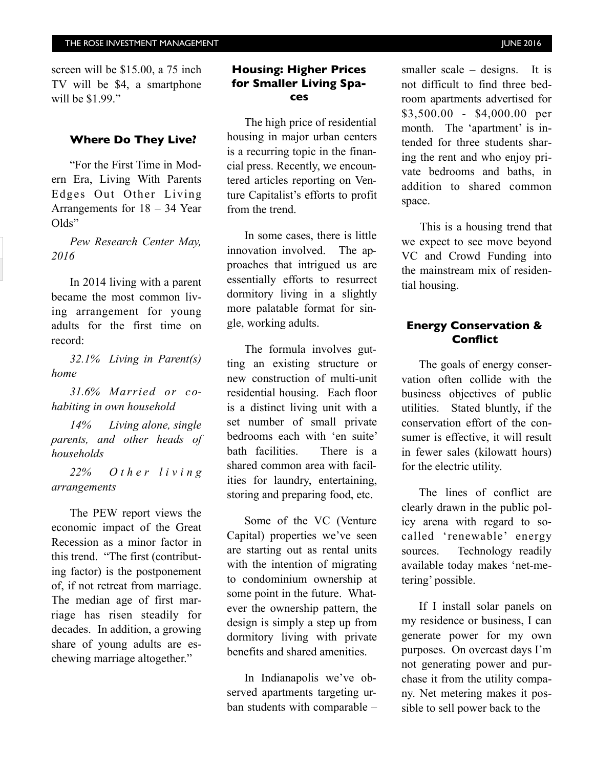screen will be \$15.00, a 75 inch TV will be \$4, a smartphone will be \$1.99"

## **Where Do They Live?**

"For the First Time in Modern Era, Living With Parents Edges Out Other Living Arrangements for 18 – 34 Year Olds"

*Pew Research Center May, 2016* 

In 2014 living with a parent became the most common living arrangement for young adults for the first time on record:

*32.1% Living in Parent(s) home* 

*31.6% Married or cohabiting in own household* 

*14% Living alone, single parents, and other heads of households* 

*22% O t h e r l i v i n g arrangements* 

The PEW report views the economic impact of the Great Recession as a minor factor in this trend. "The first (contributing factor) is the postponement of, if not retreat from marriage. The median age of first marriage has risen steadily for decades. In addition, a growing share of young adults are eschewing marriage altogether."

# **Housing: Higher Prices for Smaller Living Spaces**

The high price of residential housing in major urban centers is a recurring topic in the financial press. Recently, we encountered articles reporting on Venture Capitalist's efforts to profit from the trend.

In some cases, there is little innovation involved. The approaches that intrigued us are essentially efforts to resurrect dormitory living in a slightly more palatable format for single, working adults.

The formula involves gutting an existing structure or new construction of multi-unit residential housing. Each floor is a distinct living unit with a set number of small private bedrooms each with 'en suite' bath facilities. There is a shared common area with facilities for laundry, entertaining, storing and preparing food, etc.

Some of the VC (Venture Capital) properties we've seen are starting out as rental units with the intention of migrating to condominium ownership at some point in the future. Whatever the ownership pattern, the design is simply a step up from dormitory living with private benefits and shared amenities.

In Indianapolis we've observed apartments targeting urban students with comparable – smaller scale – designs. It is not difficult to find three bedroom apartments advertised for \$3,500.00 - \$4,000.00 per month. The 'apartment' is intended for three students sharing the rent and who enjoy private bedrooms and baths, in addition to shared common space.

This is a housing trend that we expect to see move beyond VC and Crowd Funding into the mainstream mix of residential housing.

# **Energy Conservation & Conflict**

The goals of energy conservation often collide with the business objectives of public utilities. Stated bluntly, if the conservation effort of the consumer is effective, it will result in fewer sales (kilowatt hours) for the electric utility.

The lines of conflict are clearly drawn in the public policy arena with regard to socalled 'renewable' energy sources. Technology readily available today makes 'net-metering' possible.

If I install solar panels on my residence or business, I can generate power for my own purposes. On overcast days I'm not generating power and purchase it from the utility company. Net metering makes it possible to sell power back to the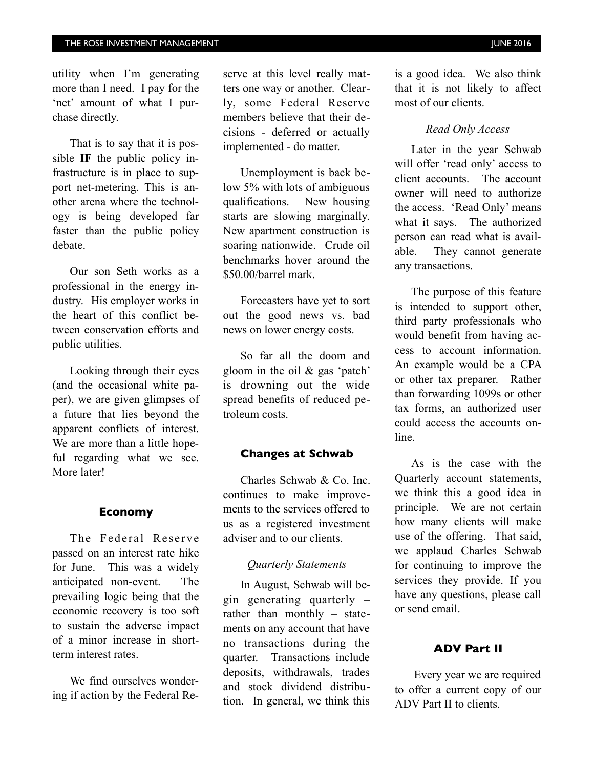utility when I'm generating more than I need. I pay for the 'net' amount of what I purchase directly.

That is to say that it is possible **IF** the public policy infrastructure is in place to support net-metering. This is another arena where the technology is being developed far faster than the public policy debate.

Our son Seth works as a professional in the energy industry. His employer works in the heart of this conflict between conservation efforts and public utilities.

Looking through their eyes (and the occasional white paper), we are given glimpses of a future that lies beyond the apparent conflicts of interest. We are more than a little hopeful regarding what we see. More later!

### **Economy**

The Federal Reserve passed on an interest rate hike for June. This was a widely anticipated non-event. The prevailing logic being that the economic recovery is too soft to sustain the adverse impact of a minor increase in shortterm interest rates.

We find ourselves wondering if action by the Federal Reserve at this level really matters one way or another. Clearly, some Federal Reserve members believe that their decisions - deferred or actually implemented - do matter.

Unemployment is back below 5% with lots of ambiguous qualifications. New housing starts are slowing marginally. New apartment construction is soaring nationwide. Crude oil benchmarks hover around the \$50.00/barrel mark.

Forecasters have yet to sort out the good news vs. bad news on lower energy costs.

So far all the doom and gloom in the oil & gas 'patch' is drowning out the wide spread benefits of reduced petroleum costs.

## **Changes at Schwab**

Charles Schwab & Co. Inc. continues to make improvements to the services offered to us as a registered investment adviser and to our clients.

### *Quarterly Statements*

In August, Schwab will begin generating quarterly – rather than monthly – statements on any account that have no transactions during the quarter. Transactions include deposits, withdrawals, trades and stock dividend distribution. In general, we think this

is a good idea. We also think that it is not likely to affect most of our clients.

#### *Read Only Access*

Later in the year Schwab will offer 'read only' access to client accounts. The account owner will need to authorize the access. 'Read Only' means what it says. The authorized person can read what is available. They cannot generate any transactions.

The purpose of this feature is intended to support other, third party professionals who would benefit from having access to account information. An example would be a CPA or other tax preparer. Rather than forwarding 1099s or other tax forms, an authorized user could access the accounts online.

As is the case with the Quarterly account statements, we think this a good idea in principle. We are not certain how many clients will make use of the offering. That said, we applaud Charles Schwab for continuing to improve the services they provide. If you have any questions, please call or send email.

#### **ADV Part II**

Every year we are required to offer a current copy of our ADV Part II to clients.